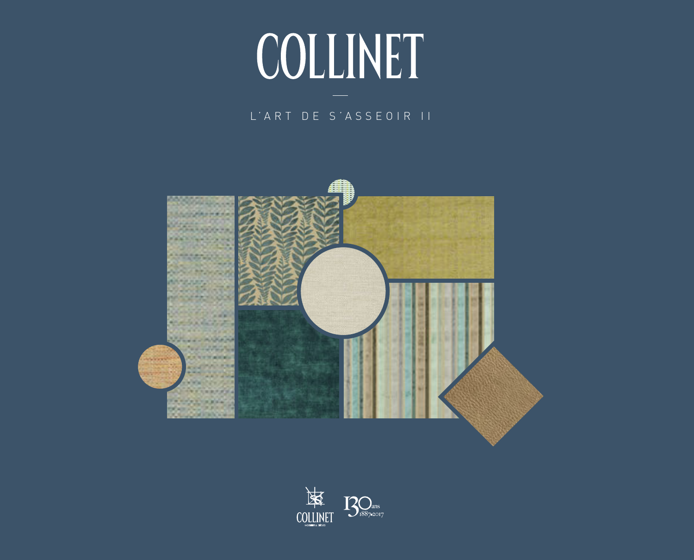## COLLINET

## L'ART DE S'ASSEOIR II



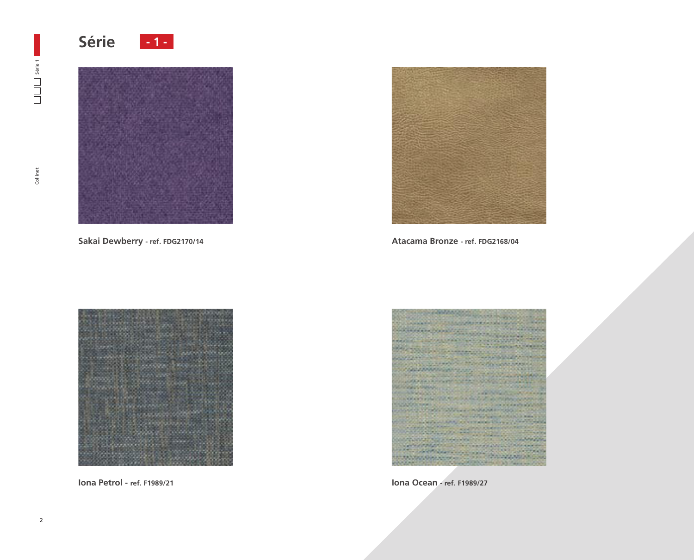





**Sakai Dewberry - ref. FDG2170/14 Atacama Bronze - ref. FDG2168/04**





**Iona Petrol - ref. F1989/21 Iona Ocean - ref. F1989/27**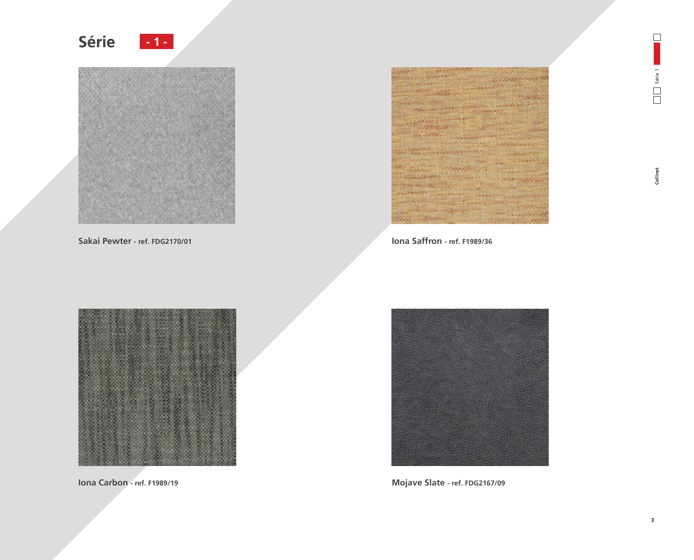



**Sakai Pewter - ref. FDG2170/01**



**Iona Saffron - ref. F1989/36**



**Iona Carbon - ref. F1989/19**



**Mojave Slate - ref. FDG2167/09**

 $\Box$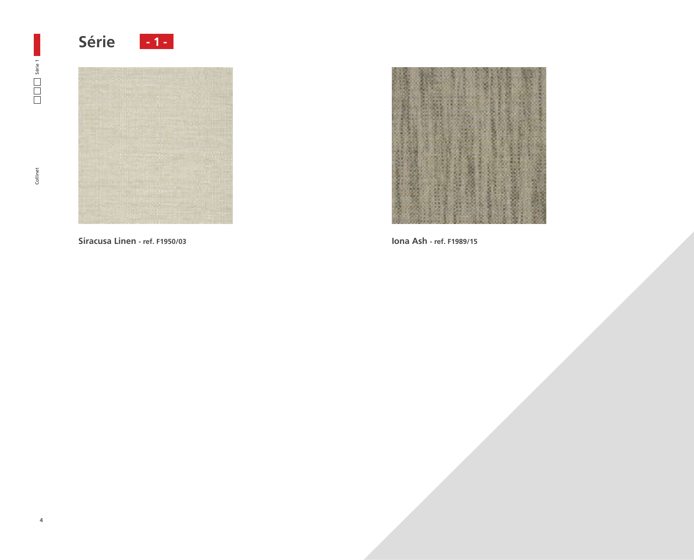



**Siracusa Linen - ref. F1950/03 Iona Ash - ref. F1989/15**



Collinet

4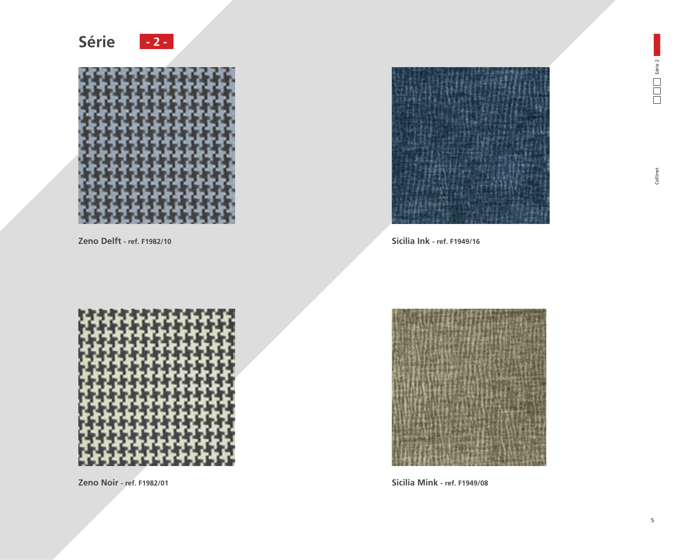





**Zeno Delft - ref. F1982/10 Sicilia Ink - ref. F1949/16**





**Zeno Noir - ref. F1982/01 Sicilia Mink - ref. F1949/08**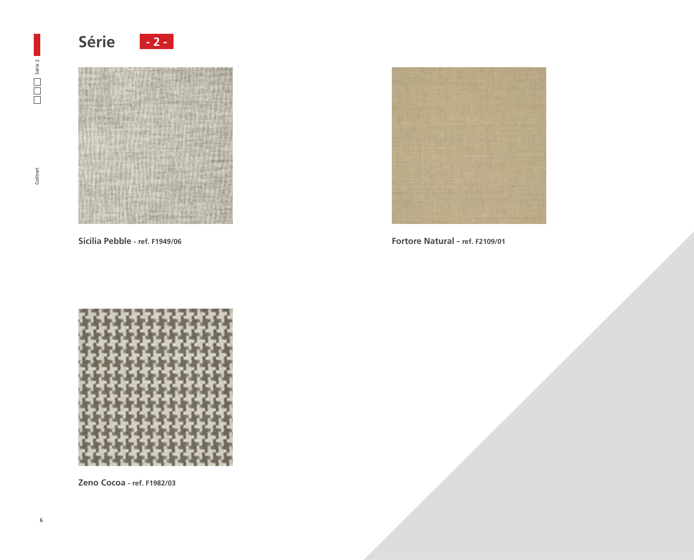





**Sicilia Pebble - ref. F1949/06 Fortore Natural - ref. F2109/01**



**Zeno Cocoa - ref. F1982/03**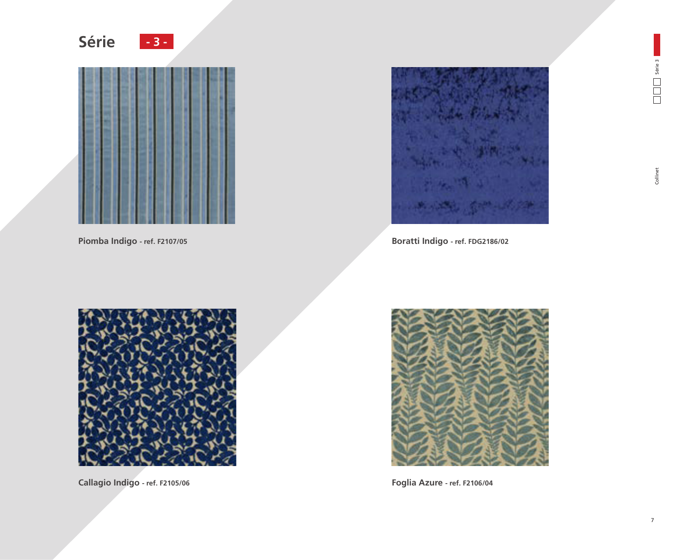



**Piomba Indigo - ref. F2107/05 Boratti Indigo - ref. FDG2186/02**



**Callagio Indigo - ref. F2105/06 Foglia Azure - ref. F2106/04**

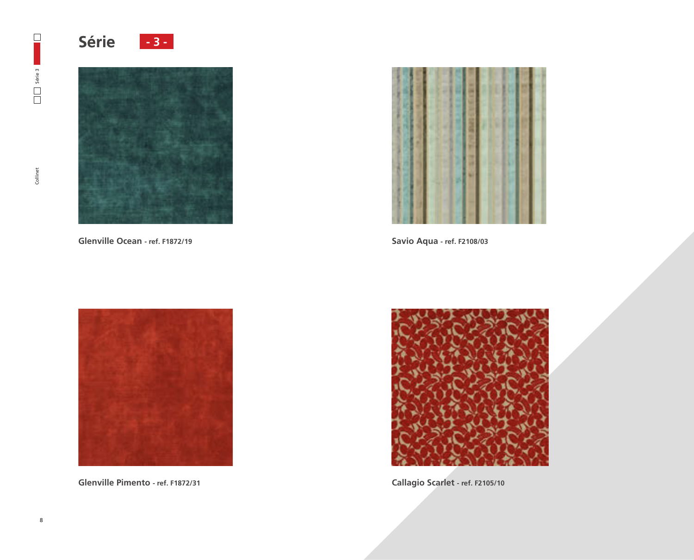

**Série - 2 -3**



**Glenville Ocean - ref. F1872/19**



**Savio Aqua - ref. F2108/03**



**Glenville Pimento - ref. F1872/31**



**Callagio Scarlet - ref. F2105/10**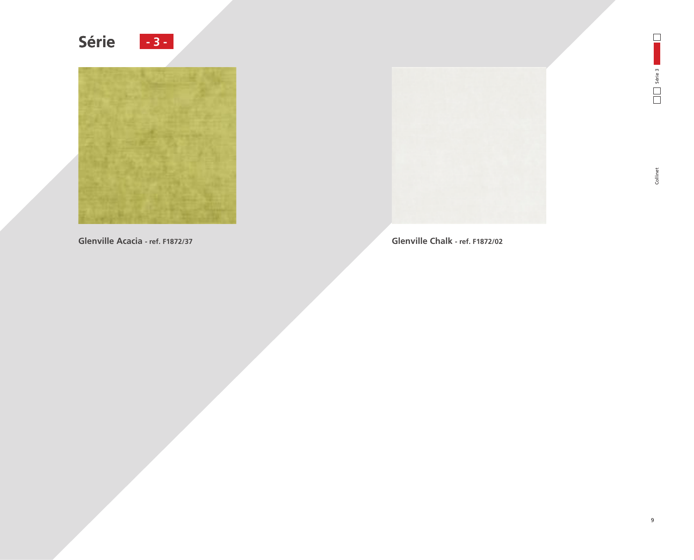





**Glenville Acacia - ref. F1872/37 Glenville Chalk - ref. F1872/02**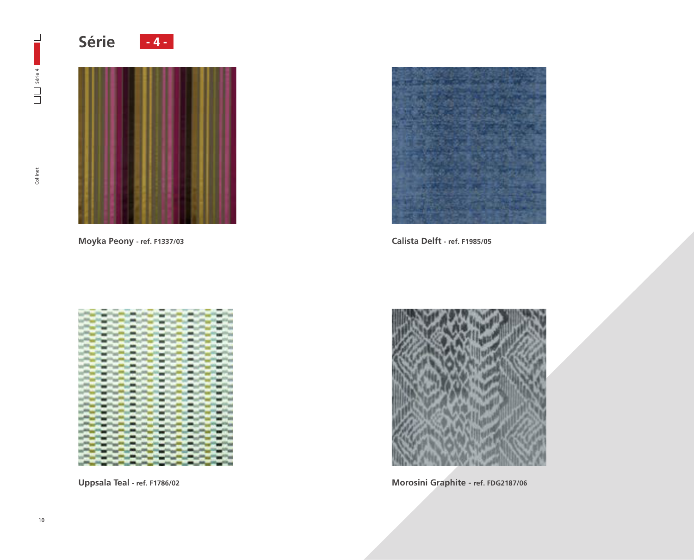

**Série - 4 -**



**Moyka Peony - ref. F1337/03 Calista Delft - ref. F1985/05**





**Uppsala Teal - ref. F1786/02 Morosini Graphite - ref. FDG2187/06**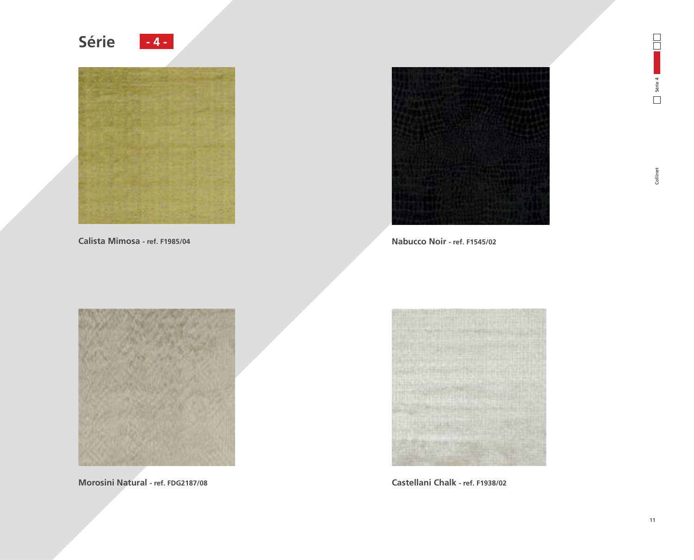



**Calista Mimosa - ref. F1985/04 Nabucco Noir - ref. F1545/02**





**Morosini Natural - ref. FDG2187/08 Castellani Chalk - ref. F1938/02**

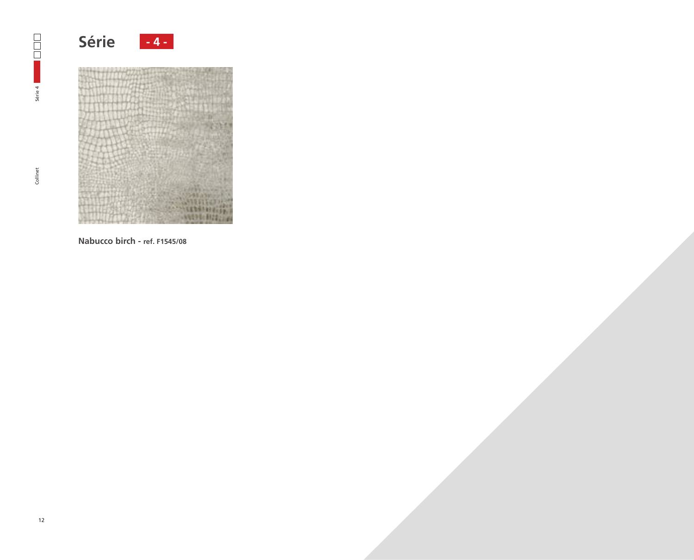

**Nabucco birch - ref. F1545/08**

Série 4

 $\begin{array}{c} \square \\ \square \end{array}$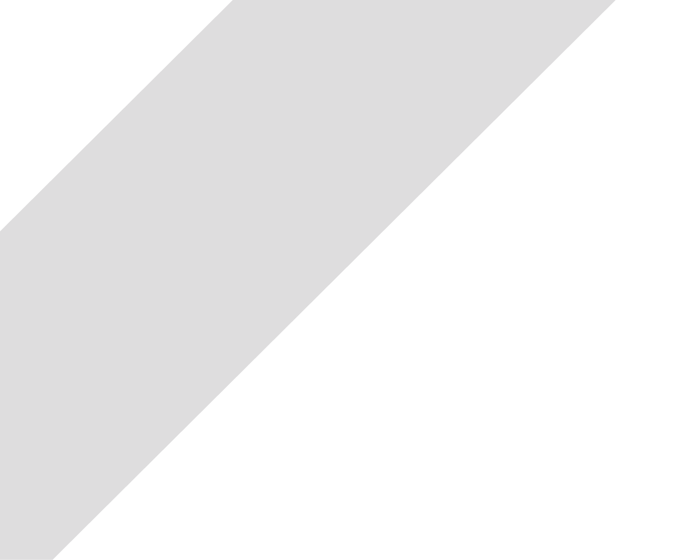